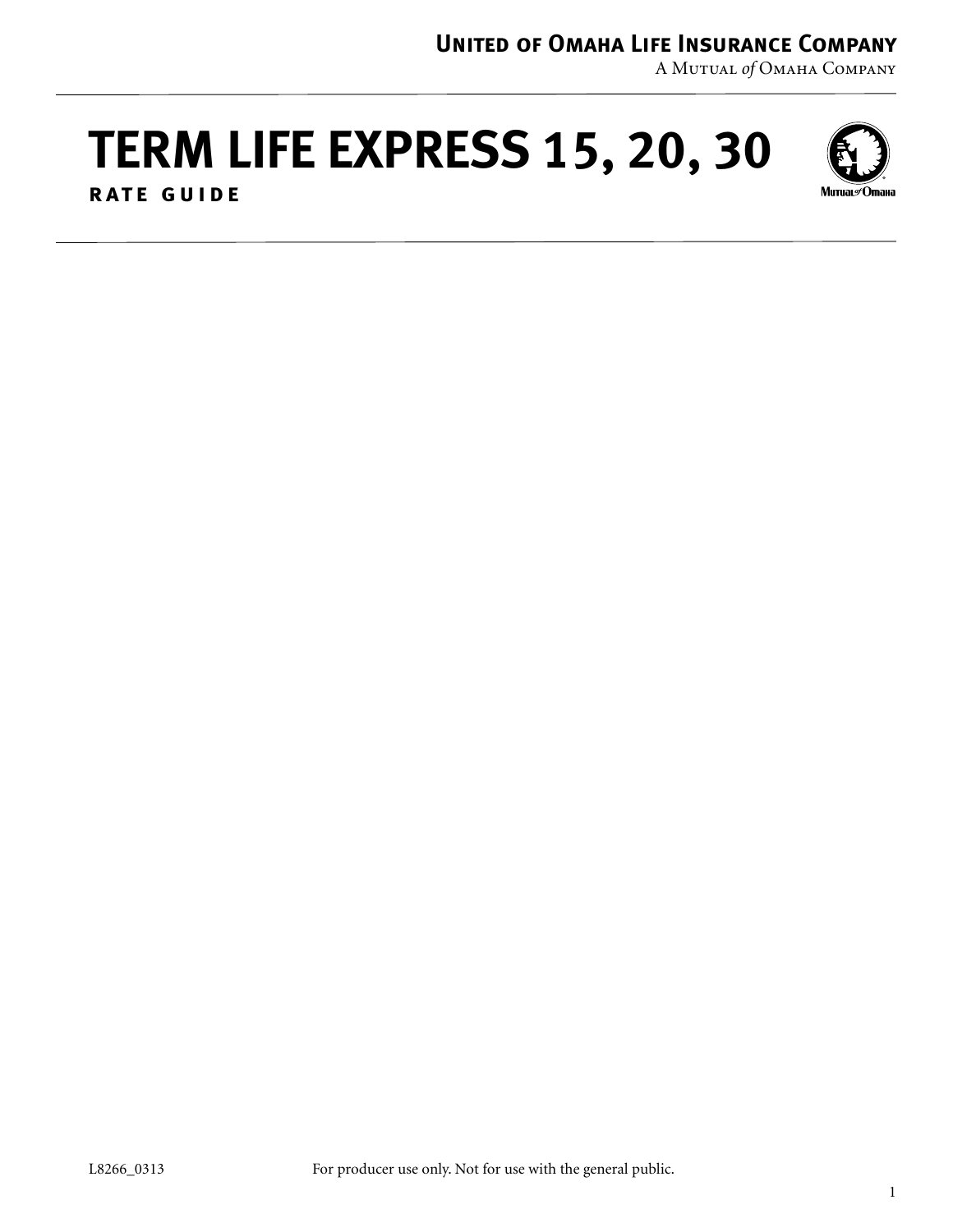## **United of Omaha Life Insurance Company**

A Mutual *of* Omaha Company

# **TERM LIFE EXPRESS 15, 20, 30**



**rate guide**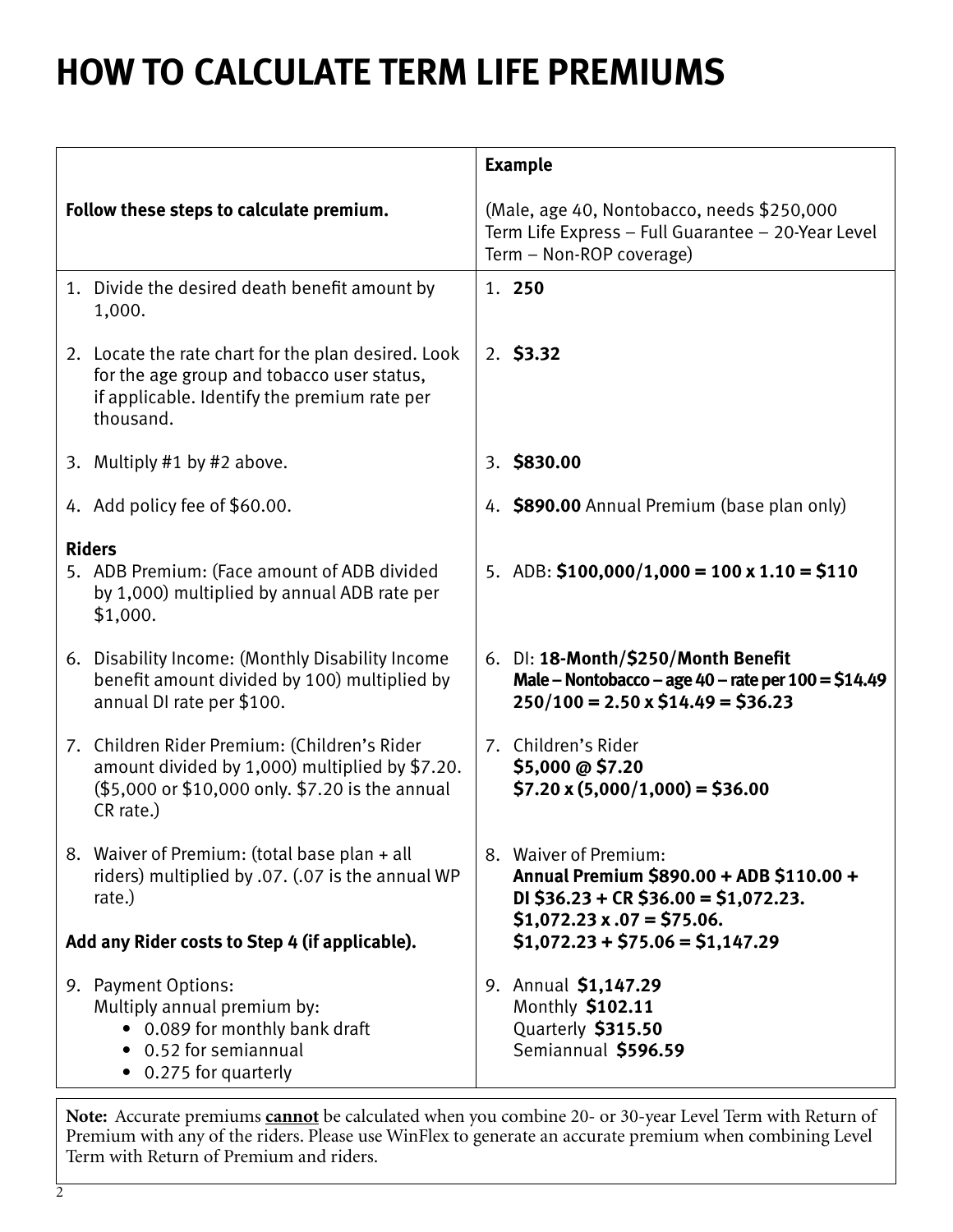## **HOW TO CALCULATE TERM LIFE PREMIUMS**

|                                                                                                                                                                |                                                                                                                              | <b>Example</b>                                                                                                                         |  |  |
|----------------------------------------------------------------------------------------------------------------------------------------------------------------|------------------------------------------------------------------------------------------------------------------------------|----------------------------------------------------------------------------------------------------------------------------------------|--|--|
| Follow these steps to calculate premium.                                                                                                                       | (Male, age 40, Nontobacco, needs \$250,000<br>Term Life Express - Full Guarantee - 20-Year Level<br>Term - Non-ROP coverage) |                                                                                                                                        |  |  |
| 1. Divide the desired death benefit amount by<br>1,000.                                                                                                        |                                                                                                                              | 1. 250                                                                                                                                 |  |  |
| 2. Locate the rate chart for the plan desired. Look<br>for the age group and tobacco user status,<br>if applicable. Identify the premium rate per<br>thousand. |                                                                                                                              | $2.$ \$3.32                                                                                                                            |  |  |
| 3. Multiply #1 by #2 above.                                                                                                                                    |                                                                                                                              | 3. \$830.00                                                                                                                            |  |  |
| 4. Add policy fee of \$60.00.                                                                                                                                  |                                                                                                                              | 4. \$890.00 Annual Premium (base plan only)                                                                                            |  |  |
| <b>Riders</b><br>5. ADB Premium: (Face amount of ADB divided<br>by 1,000) multiplied by annual ADB rate per<br>\$1,000.                                        |                                                                                                                              | 5. ADB: $$100,000/1,000 = 100 \times 1.10 = $110$                                                                                      |  |  |
| 6. Disability Income: (Monthly Disability Income<br>benefit amount divided by 100) multiplied by<br>annual DI rate per \$100.                                  |                                                                                                                              | 6. DI: 18-Month/\$250/Month Benefit<br>Male – Nontobacco – age 40 – rate per $100 = $14.49$<br>$250/100 = 2.50 \times $14.49 = $36.23$ |  |  |
| 7. Children Rider Premium: (Children's Rider<br>amount divided by 1,000) multiplied by \$7.20.<br>(\$5,000 or \$10,000 only. \$7.20 is the annual<br>CR rate.) |                                                                                                                              | 7. Children's Rider<br>\$5,000 @ \$7.20<br>$$7.20 \times (5,000/1,000) = $36.00$                                                       |  |  |
| 8. Waiver of Premium: (total base plan + all<br>riders) multiplied by .07. (.07 is the annual WP<br>rate.)                                                     |                                                                                                                              | 8. Waiver of Premium:<br>Annual Premium \$890.00 + ADB \$110.00 +<br>DI \$36.23 + CR \$36.00 = \$1,072.23.                             |  |  |
| Add any Rider costs to Step 4 (if applicable).                                                                                                                 |                                                                                                                              | $$1,072.23 \times .07 = $75.06.$<br>$$1,072.23 + $75.06 = $1,147.29$                                                                   |  |  |
| 9. Payment Options:<br>Multiply annual premium by:<br>• 0.089 for monthly bank draft<br>0.52 for semiannual<br>• 0.275 for quarterly                           |                                                                                                                              | 9. Annual \$1,147.29<br>Monthly \$102.11<br>Quarterly \$315.50<br>Semiannual \$596.59                                                  |  |  |

**Note:** Accurate premiums **cannot** be calculated when you combine 20- or 30-year Level Term with Return of Premium with any of the riders. Please use WinFlex to generate an accurate premium when combining Level Term with Return of Premium and riders.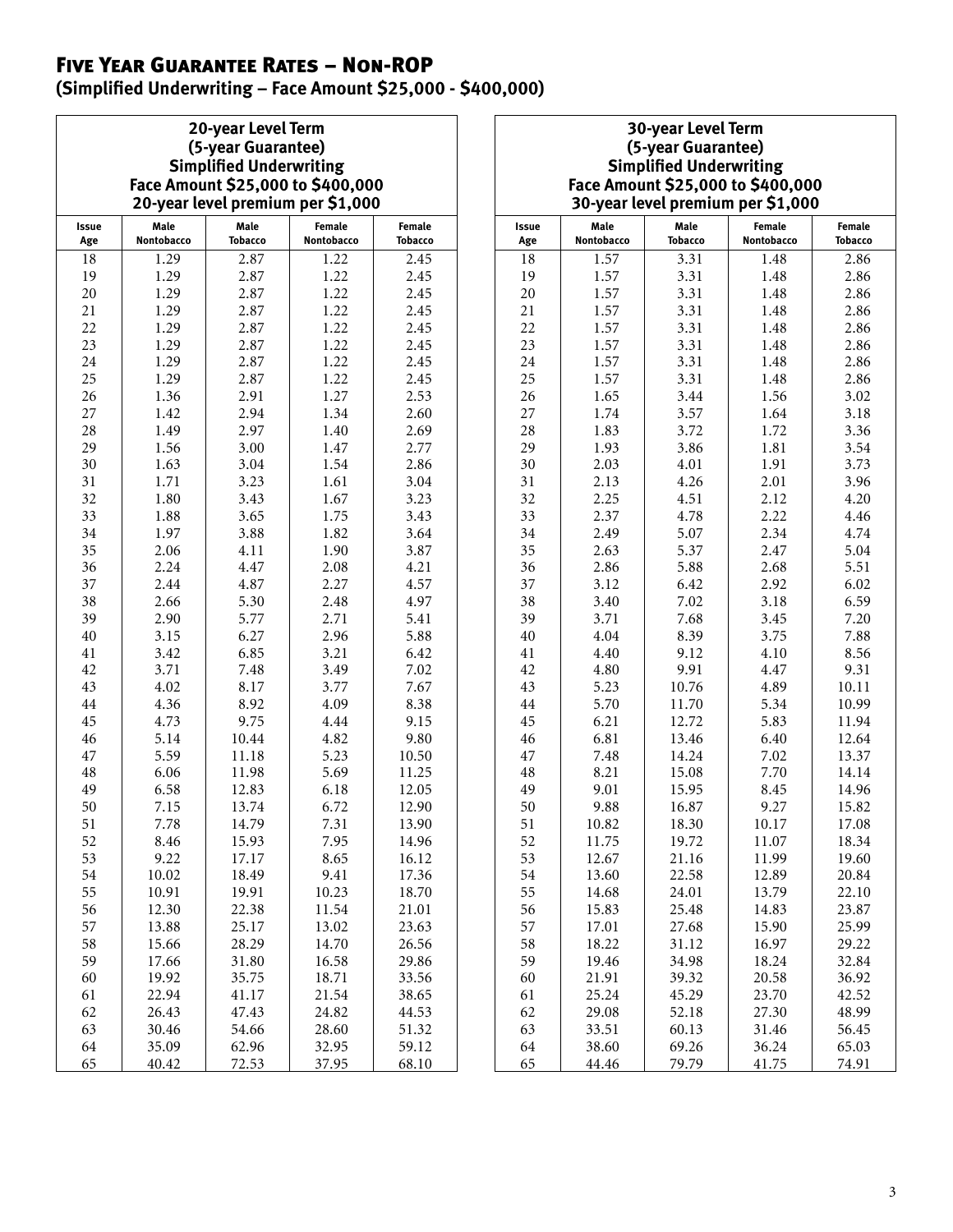## Five Year Guarantee Rates – Non-ROP

**(Simplified Underwriting – Face Amount \$25,000 - \$400,000)**

| 20-year Level Term                |
|-----------------------------------|
| (5-year Guarantee)                |
| <b>Simplified Underwriting</b>    |
| Face Amount \$25,000 to \$400,000 |
| 20-year level premium per \$1,000 |

| Issue<br>Age | Male<br>Nontobacco | Male<br><b>Tobacco</b> | Female<br>Nontobacco | Female<br>Tobacco | lssı<br>Ag     |
|--------------|--------------------|------------------------|----------------------|-------------------|----------------|
| 18           | 1.29               | 2.87                   | 1.22                 | 2.45              | 18             |
| 19           | 1.29               | 2.87                   | 1.22                 | 2.45              | 19             |
| 20           | 1.29               | 2.87                   | 1.22                 | 2.45              | 2(             |
| 21           | 1.29               | 2.87                   | 1.22                 | 2.45              | 21             |
| 22           | 1.29               | 2.87                   | 1.22                 | 2.45              | 22             |
| 23           | 1.29               | 2.87                   | 1.22                 | 2.45              | 2 <sup>3</sup> |
| 24           | 1.29               | 2.87                   | 1.22                 | 2.45              | 24             |
| 25           | 1.29               | 2.87                   | 1.22                 | 2.45              | 25             |
| 26           | 1.36               | 2.91                   | 1.27                 | 2.53              | 26             |
| 27           | 1.42               | 2.94                   | 1.34                 | 2.60              | 27             |
| 28           | 1.49               | 2.97                   | 1.40                 | 2.69              | 28             |
| 29           | 1.56               | 3.00                   | 1.47                 | 2.77              | 2 <sup>c</sup> |
| 30           | 1.63               | 3.04                   | 1.54                 | 2.86              | 3 <sup>0</sup> |
| 31           | 1.71               | 3.23                   | 1.61                 | 3.04              | 31             |
| 32           | 1.80               | 3.43                   | 1.67                 | 3.23              | 32             |
| 33           | 1.88               | 3.65                   | 1.75                 | 3.43              | 3 <sup>3</sup> |
| 34           | 1.97               | 3.88                   | 1.82                 | 3.64              | 34             |
| 35           | 2.06               | 4.11                   | 1.90                 | 3.87              | 35             |
| 36           | 2.24               | 4.47                   | 2.08                 | 4.21              | 36             |
| 37           | 2.44               | 4.87                   | 2.27                 | 4.57              | 37             |
| 38           | 2.66               | 5.30                   | 2.48                 | 4.97              | 38             |
| 39           | 2.90               | 5.77                   | 2.71                 | 5.41              | 39             |
| 40           | 3.15               | 6.27                   | 2.96                 | 5.88              | 4(             |
| 41           | 3.42               | 6.85                   | 3.21                 | 6.42              | 41             |
| 42           | 3.71               | 7.48                   | 3.49                 | 7.02              | 42             |
| 43           | 4.02               | 8.17                   | 3.77                 | 7.67              | 4 <sup>3</sup> |
| $\rm 44$     | 4.36               | 8.92                   | 4.09                 | 8.38              | 44             |
| 45           | 4.73               | 9.75                   | 4.44                 | 9.15              | 45             |
| 46           | 5.14               | 10.44                  | 4.82                 | 9.80              | 46             |
| 47           | 5.59               | 11.18                  | 5.23                 | 10.50             | 47             |
| 48           | 6.06               | 11.98                  | 5.69                 | 11.25             | 48             |
| 49           | 6.58               | 12.83                  | 6.18                 | 12.05             | 49             |
| 50           | 7.15               | 13.74                  | 6.72                 | 12.90             | 5(             |
| 51           | 7.78               | 14.79                  | 7.31                 | 13.90             | 51             |
| 52           | 8.46               | 15.93                  | 7.95                 | 14.96             | 52             |
| 53           | 9.22               | 17.17                  | 8.65                 | 16.12             | 53             |
| 54           | 10.02              | 18.49                  | 9.41                 | 17.36             | 54             |
| 55           | 10.91              | 19.91                  | 10.23                | 18.70             | 55             |
| 56           | 12.30              | 22.38                  | 11.54                | 21.01             | 56             |
| 57           | 13.88              | 25.17                  | 13.02                | 23.63             | 57             |
| 58           | 15.66              | 28.29                  | 14.70                | 26.56             | 58             |
| 59           | 17.66              | 31.80                  | 16.58                | 29.86             | 59             |
| 60           | 19.92              | 35.75                  | 18.71                | 33.56             | 60             |
| 61           | 22.94              | 41.17                  | 21.54                | 38.65             | 61             |
| 62           | 26.43              | 47.43                  | 24.82                | 44.53             | 62             |
| 63           | 30.46              | 54.66                  | 28.60                | 51.32             | 63             |
| 64           | 35.09              | 62.96                  | 32.95                | 59.12             | 64             |
| 65           | 40.42              | 72.53                  | 37.95                | 68.10             | 65             |

#### **30-year Level Term (5-year Guarantee) Simplified Underwriting Face Amount \$25,000 to \$400,000 30-year level premium per \$1,000**

| Issue<br>Age | Male<br>Nontobacco | Male<br><b>Tobacco</b> | <b>Female</b><br>Nontobacco |       |  |  |
|--------------|--------------------|------------------------|-----------------------------|-------|--|--|
| 18           | 1.57               | 3.31                   | 1.48                        | 2.86  |  |  |
| 19           | 1.57               | 3.31                   | 1.48                        | 2.86  |  |  |
| 20           | 1.57               | 3.31                   | 1.48                        | 2.86  |  |  |
| 21           | 1.57               | 3.31<br>1.48           |                             | 2.86  |  |  |
| 22           | 1.57               | 3.31                   | 1.48                        | 2.86  |  |  |
| 23           | 1.57               | 3.31                   | 1.48                        | 2.86  |  |  |
| 24           | 1.57               | 3.31                   | 1.48                        | 2.86  |  |  |
| 25           | 1.57               | 3.31                   | 1.48                        | 2.86  |  |  |
| 26           | 1.65               | 3.44                   | 1.56                        | 3.02  |  |  |
| 27           | 1.74               | 3.57                   | 1.64                        | 3.18  |  |  |
| 28           | 1.83               | 3.72                   | 1.72                        | 3.36  |  |  |
| 29           | 1.93               | 3.86                   | 1.81                        | 3.54  |  |  |
| 30           | 2.03               | 4.01                   | 1.91                        | 3.73  |  |  |
| 31           | 2.13               | 4.26                   | 2.01                        | 3.96  |  |  |
| 32           | 2.25               | 4.51                   | 2.12                        | 4.20  |  |  |
| 33           | 2.37               | 4.78                   | 2.22                        | 4.46  |  |  |
| 34           | 2.49               | 5.07                   | 2.34                        | 4.74  |  |  |
| 35           | 2.63               | 5.37                   | 2.47                        | 5.04  |  |  |
| 36           | 2.86               | 5.88                   | 2.68                        | 5.51  |  |  |
| 37           | 3.12               | 6.42                   | 2.92                        | 6.02  |  |  |
| 38           | 3.40               | 7.02                   | 3.18                        | 6.59  |  |  |
| 39           | 3.71               | 7.68                   | 3.45                        | 7.20  |  |  |
| 40           | 4.04               | 8.39                   | 3.75                        | 7.88  |  |  |
| 41           | 4.40               | 9.12                   | 4.10                        | 8.56  |  |  |
| 42           | 4.80               | 9.91                   | 4.47                        | 9.31  |  |  |
| 43           | 5.23               | 10.76                  | 4.89                        | 10.11 |  |  |
| 44           | 5.70               | 11.70                  | 5.34                        | 10.99 |  |  |
| 45           | 6.21               | 12.72                  | 5.83                        | 11.94 |  |  |
| 46           | 6.81               | 13.46                  | 6.40                        | 12.64 |  |  |
| 47           | 7.48               | 14.24                  | 7.02                        | 13.37 |  |  |
| 48           | 8.21               | 15.08                  | 7.70                        | 14.14 |  |  |
| 49           | 9.01               | 15.95                  | 8.45                        | 14.96 |  |  |
| 50           | 9.88               | 16.87                  | 9.27                        | 15.82 |  |  |
| 51           | 10.82              | 18.30                  | 10.17                       | 17.08 |  |  |
| 52           | 11.75              | 19.72                  | 11.07                       | 18.34 |  |  |
| 53           | 12.67              | 21.16                  | 11.99                       | 19.60 |  |  |
| 54           | 13.60              | 22.58                  | 12.89                       | 20.84 |  |  |
| 55           | 14.68              | 24.01                  | 13.79                       | 22.10 |  |  |
| 56           | 15.83              | 25.48                  | 14.83                       | 23.87 |  |  |
| 57           | 17.01              | 27.68<br>15.90         |                             | 25.99 |  |  |
| 58           | 18.22              | 31.12<br>16.97         |                             | 29.22 |  |  |
| 59           | 19.46              | 34.98<br>18.24         |                             | 32.84 |  |  |
| 60           | 21.91              | 39.32                  | 20.58                       | 36.92 |  |  |
| 61           | 25.24              | 45.29                  | 23.70                       | 42.52 |  |  |
| 62           | 29.08              | 52.18                  | 27.30                       | 48.99 |  |  |
| 63           | 33.51              | 60.13                  | 31.46                       | 56.45 |  |  |
| 64           | 38.60              | 69.26                  | 36.24                       | 65.03 |  |  |
| 65           | 44.46              | 79.79                  | 41.75                       | 74.91 |  |  |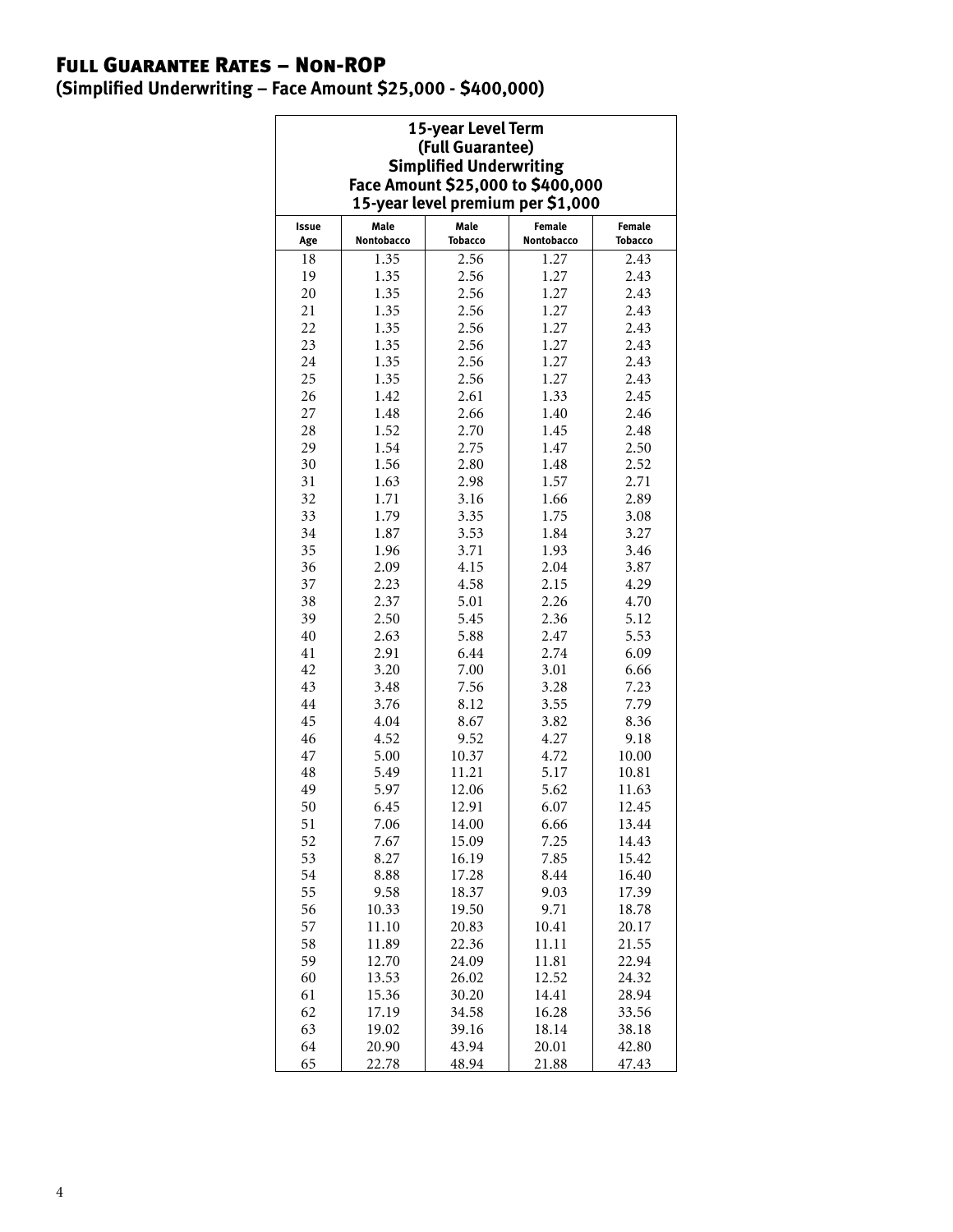## Full Guarantee Rates – Non-ROP

**(Simplified Underwriting – Face Amount \$25,000 - \$400,000)**

| 15-year Level Term<br>(Full Guarantee)<br><b>Simplified Underwriting</b><br>Face Amount \$25,000 to \$400,000<br>15-year level premium per \$1,000 |                    |                        |                      |                   |  |  |  |
|----------------------------------------------------------------------------------------------------------------------------------------------------|--------------------|------------------------|----------------------|-------------------|--|--|--|
| Issue<br>Age                                                                                                                                       | Male<br>Nontobacco | Male<br><b>Tobacco</b> | Female<br>Nontobacco | Female<br>Tobacco |  |  |  |
| 18                                                                                                                                                 | 1.35               | 2.56                   | 1.27                 | 2.43              |  |  |  |
| 19                                                                                                                                                 | 1.35               | 2.56                   | 1.27                 | 2.43              |  |  |  |
| 20                                                                                                                                                 | 1.35               | 2.56                   | 1.27                 | 2.43              |  |  |  |
| 21                                                                                                                                                 | 1.35               | 2.56                   | 1.27                 | 2.43              |  |  |  |
| 22                                                                                                                                                 | 1.35               | 2.56                   | 1.27                 | 2.43              |  |  |  |
| 23                                                                                                                                                 | 1.35               | 2.56                   | 1.27                 | 2.43              |  |  |  |
| 24                                                                                                                                                 | 1.35               | 2.56                   | 1.27                 | 2.43              |  |  |  |
| 25                                                                                                                                                 | 1.35               | 2.56                   | 1.27                 | 2.43              |  |  |  |
| 26                                                                                                                                                 | 1.42               | 2.61                   | 1.33                 | 2.45              |  |  |  |
| 27                                                                                                                                                 | 1.48               | 2.66                   | 1.40                 | 2.46              |  |  |  |
| 28                                                                                                                                                 | 1.52               | 2.70                   | 1.45                 | 2.48              |  |  |  |
| 29                                                                                                                                                 | 1.54               | 2.75                   | 1.47                 | 2.50              |  |  |  |
| 30                                                                                                                                                 | 1.56               | 2.80                   | 1.48                 | 2.52              |  |  |  |
| 31                                                                                                                                                 | 1.63               | 2.98                   | 1.57                 | 2.71              |  |  |  |
| 32                                                                                                                                                 | 1.71               | 3.16                   | 1.66                 | 2.89              |  |  |  |
| 33                                                                                                                                                 | 1.79               | 3.35                   | 1.75                 | 3.08              |  |  |  |
| 34                                                                                                                                                 | 1.87               | 3.53                   | 1.84                 | 3.27              |  |  |  |
| 35                                                                                                                                                 | 1.96               | 3.71                   | 1.93                 | 3.46              |  |  |  |
| 36                                                                                                                                                 | 2.09               | 4.15                   | 2.04                 | 3.87              |  |  |  |
| 37                                                                                                                                                 |                    |                        |                      |                   |  |  |  |
| 38                                                                                                                                                 | 2.23<br>2.37       | 4.58<br>5.01           | 2.15<br>2.26         | 4.29<br>4.70      |  |  |  |
| 39                                                                                                                                                 | 2.50               | 5.45                   | 2.36                 | 5.12              |  |  |  |
|                                                                                                                                                    |                    |                        |                      |                   |  |  |  |
| 40                                                                                                                                                 | 2.63               | 5.88                   | 2.47                 | 5.53              |  |  |  |
| 41                                                                                                                                                 | 2.91               | 6.44                   | 2.74                 | 6.09              |  |  |  |
| 42                                                                                                                                                 | 3.20               | 7.00                   | 3.01                 | 6.66              |  |  |  |
| 43                                                                                                                                                 | 3.48               | 7.56                   | 3.28                 | 7.23              |  |  |  |
| 44                                                                                                                                                 | 3.76               | 8.12                   | 3.55                 | 7.79              |  |  |  |
| 45                                                                                                                                                 | 4.04               | 8.67                   | 3.82                 | 8.36              |  |  |  |
| 46                                                                                                                                                 | 4.52               | 9.52                   | 4.27                 | 9.18              |  |  |  |
| 47                                                                                                                                                 | 5.00               | 10.37                  | 4.72                 | 10.00             |  |  |  |
| 48                                                                                                                                                 | 5.49               | 11.21                  | 5.17                 | 10.81             |  |  |  |
| 49                                                                                                                                                 | 5.97               | 12.06                  | 5.62                 | 11.63             |  |  |  |
| 50                                                                                                                                                 | 6.45               | 12.91                  | 6.07                 | 12.45             |  |  |  |
| 51                                                                                                                                                 | 7.06               | 14.00                  | 6.66                 | 13.44             |  |  |  |
| 52                                                                                                                                                 | 7.67               | 15.09                  | 7.25                 | 14.43             |  |  |  |
| 53                                                                                                                                                 | 8.27               | 16.19                  | 7.85                 | 15.42             |  |  |  |
| 54                                                                                                                                                 | 8.88               | 17.28                  | 8.44                 | 16.40             |  |  |  |
| 55                                                                                                                                                 | 9.58               | 18.37                  | 9.03                 | 17.39             |  |  |  |
| 56                                                                                                                                                 | 10.33<br>11.10     | 19.50                  | 9.71<br>10.41        | 18.78             |  |  |  |
| 57                                                                                                                                                 |                    | 20.83                  |                      | 20.17             |  |  |  |
| 58                                                                                                                                                 | 11.89              | 22.36                  | 11.11                | 21.55             |  |  |  |
| 59                                                                                                                                                 | 12.70              | 24.09                  | 11.81                | 22.94             |  |  |  |
| 60                                                                                                                                                 | 13.53              | 26.02                  | 12.52                | 24.32             |  |  |  |
| 61                                                                                                                                                 | 15.36              | 30.20                  | 14.41                | 28.94             |  |  |  |
| 62                                                                                                                                                 | 17.19              | 34.58                  | 16.28                | 33.56             |  |  |  |
| 63                                                                                                                                                 | 19.02              | 39.16                  | 18.14                | 38.18             |  |  |  |
| 64<br>65                                                                                                                                           | 20.90<br>22.78     | 43.94<br>48.94         | 20.01<br>21.88       | 42.80<br>47.43    |  |  |  |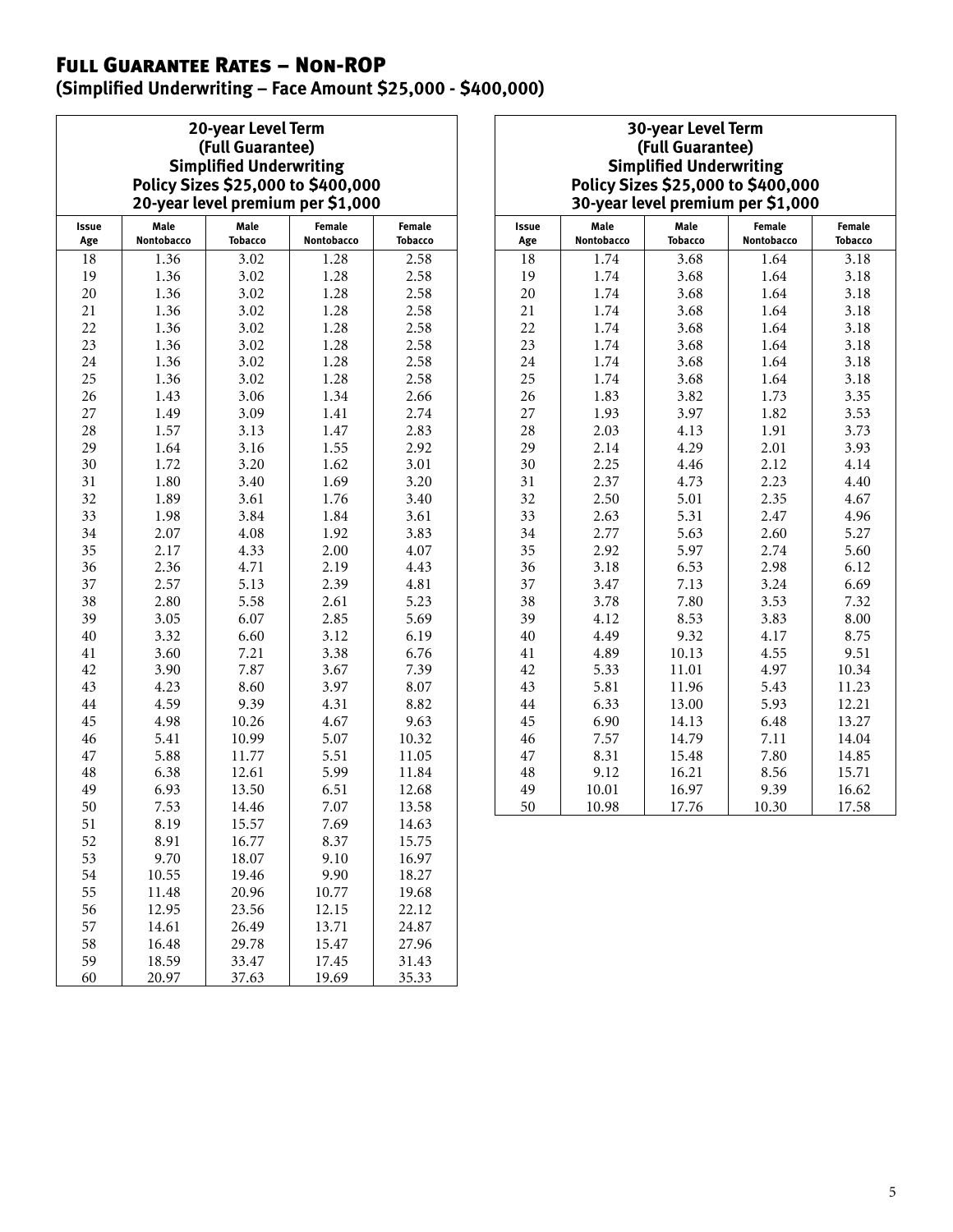## Full Guarantee Rates – Non-ROP

**(Simplified Underwriting – Face Amount \$25,000 - \$400,000)**

| <b>20-year Level Term</b>          |      |        |  |  |  |  |
|------------------------------------|------|--------|--|--|--|--|
| (Full Guarantee)                   |      |        |  |  |  |  |
| <b>Simplified Underwriting</b>     |      |        |  |  |  |  |
| Policy Sizes \$25,000 to \$400,000 |      |        |  |  |  |  |
| 20-year level premium per \$1,000  |      |        |  |  |  |  |
| Male                               | Male | Female |  |  |  |  |

| Issue | Male       | Male           | <b>Female</b> | Female         |
|-------|------------|----------------|---------------|----------------|
| Age   | Nontobacco | <b>Tobacco</b> | Nontobacco    | <b>Tobacco</b> |
| 18    | 1.36       | 3.02           | 1.28          | 2.58           |
| 19    | 1.36       | 3.02           | 1.28          | 2.58           |
| 20    | 1.36       | 3.02           | 1.28          | 2.58           |
| 21    | 1.36       | 3.02           | 1.28          | 2.58           |
| 22    | 1.36       | 3.02           | 1.28          | 2.58           |
| 23    | 1.36       | 3.02           | 1.28          | 2.58           |
| 24    | 1.36       | 3.02           | 1.28          | 2.58           |
| 25    | 1.36       | 3.02           | 1.28          | 2.58           |
| 26    | 1.43       | 3.06           | 1.34          | 2.66           |
| 27    | 1.49       | 3.09           | 1.41          | 2.74           |
| 28    | 1.57       | 3.13           | 1.47          | 2.83           |
| 29    | 1.64       | 3.16           | 1.55          | 2.92           |
| 30    | 1.72       | 3.20           | 1.62          | 3.01           |
| 31    | 1.80       | 3.40           | 1.69          | 3.20           |
| 32    | 1.89       | 3.61           | 1.76          | 3.40           |
| 33    | 1.98       | 3.84           | 1.84          | 3.61           |
| 34    | 2.07       | 4.08           | 1.92          | 3.83           |
| 35    | 2.17       | 4.33           | 2.00          | 4.07           |
| 36    | 2.36       | 4.71           | 2.19          | 4.43           |
| 37    | 2.57       | 5.13           | 2.39          |                |
| 38    | 2.80       | 5.58           | 2.61          |                |
| 39    | 3.05       | 6.07           | 2.85          | 5.69           |
| 40    | 3.32       | 6.60           | 3.12          | 6.19           |
| 41    | 3.60       | 7.21           | 3.38          | 6.76           |
| 42    | 3.90       | 7.87           | 3.67          | 7.39           |
| 43    | 4.23       | 8.60           | 3.97          | 8.07           |
| 44    | 4.59       | 9.39           | 4.31          | 8.82           |
| 45    | 4.98       | 10.26          | 4.67          | 9.63           |
| 46    | 5.41       | 10.99          | 5.07          | 10.32          |
| 47    | 5.88       | 11.77          | 5.51          | 11.05          |
| 48    | 6.38       | 12.61          | 5.99          | 11.84          |
| 49    | 6.93       | 13.50          | 6.51          | 12.68          |
| 50    | 7.53       | 14.46          | 7.07          | 13.58          |
| 51    | 8.19       | 15.57          | 7.69          | 14.63          |
| 52    | 8.91       | 16.77          | 8.37          | 15.75          |
| 53    | 9.70       | 18.07          | 9.10          | 16.97          |
| 54    | 10.55      | 19.46          | 9.90          | 18.27          |
| 55    | 11.48      | 20.96          | 10.77         | 19.68          |
| 56    | 12.95      | 23.56          | 12.15         | 22.12          |
| 57    | 14.61      | 26.49          | 13.71         | 24.87          |
| 58    | 16.48      | 29.78          | 15.47         | 27.96          |
| 59    | 18.59      | 33.47          | 17.45         | 31.43          |
| 60    | 20.97      | 37.63          | 19.69         | 35.33          |

#### **30-year Level Term (Full Guarantee) Simplified Underwriting Policy Sizes \$25,000 to \$400,000 30-year level premium per \$1,000**

| Issue<br>Age | Male<br>Nontobacco | Male<br><b>Tobacco</b> | Female<br>Nontobacco | Female<br><b>Tobacco</b> |
|--------------|--------------------|------------------------|----------------------|--------------------------|
| 18           | 1.74               | 3.68                   | 1.64                 | 3.18                     |
| 19           | 1.74               | 3.68                   | 1.64                 | 3.18                     |
| 20           | 1.74               | 3.68                   | 1.64                 | 3.18                     |
| 21           | 1.74               | 3.68                   | 1.64                 | 3.18                     |
| 22           | 1.74               | 3.68                   | 1.64                 | 3.18                     |
| 23           | 1.74               | 3.68                   | 1.64                 | 3.18                     |
| 24           | 1.74               | 3.68                   | 1.64                 | 3.18                     |
| 25           | 1.74               | 3.68                   | 1.64                 | 3.18                     |
| 26           | 1.83               | 3.82                   | 1.73                 | 3.35                     |
| 27           | 1.93               | 3.97                   | 1.82                 | 3.53                     |
| 28           | 2.03               | 4.13                   | 1.91                 | 3.73                     |
| 29           | 2.14               | 4.29                   | 2.01                 | 3.93                     |
| 30           | 2.25               | 4.46                   | 2.12                 | 4.14                     |
| 31           | 2.37               | 4.73                   | 2.23                 | 4.40                     |
| 32           | 2.50               | 5.01                   | 2.35                 | 4.67                     |
| 33           | 2.63               | 5.31                   | 2.47                 | 4.96                     |
| 34           | 2.77               | 5.63                   | 2.60                 | 5.27                     |
| 35           | 2.92               | 5.97                   | 2.74                 | 5.60                     |
| 36           | 3.18               | 6.53                   | 2.98                 | 6.12                     |
| 37           | 3.47               | 7.13                   | 3.24                 | 6.69                     |
| 38           | 3.78               | 7.80                   | 3.53                 | 7.32                     |
| 39           | 4.12               | 8.53                   | 3.83                 | 8.00                     |
| 40           | 4.49               | 9.32                   | 4.17                 | 8.75                     |
| 41           | 4.89               | 10.13                  | 4.55                 | 9.51                     |
| 42           | 5.33               | 11.01                  | 4.97                 | 10.34                    |
| 43           | 5.81               | 11.96                  | 5.43                 | 11.23                    |
| 44           | 6.33               | 13.00                  | 5.93                 | 12.21                    |
| 45           | 6.90               | 14.13                  | 6.48                 | 13.27                    |
| 46           | 7.57               | 14.79                  | 7.11                 | 14.04                    |
| 47           | 8.31               | 15.48                  | 7.80                 | 14.85                    |
| 48           | 9.12               | 16.21                  | 8.56                 | 15.71                    |
| 49           | 10.01              | 16.97                  | 9.39                 | 16.62                    |
| 50           | 10.98              | 17.76                  | 10.30                | 17.58                    |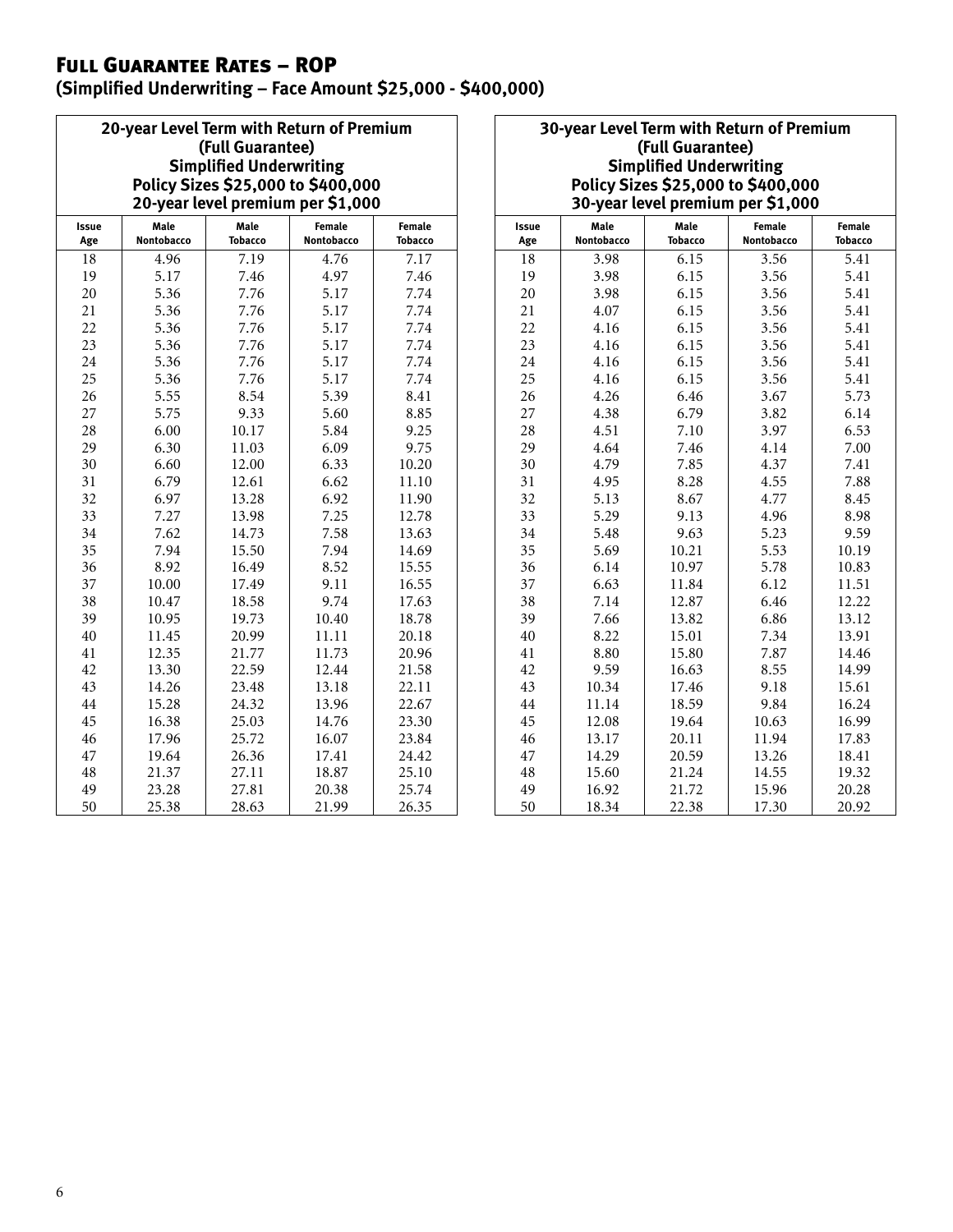## Full Guarantee Rates – ROP

 $\overline{a}$ 

**(Simplified Underwriting – Face Amount \$25,000 - \$400,000)**

|                                                                                          | 20-year Level Term with Return of Premium |                |            |         |  |  |  |                                   |      |      |        |        |  |  |  |  |
|------------------------------------------------------------------------------------------|-------------------------------------------|----------------|------------|---------|--|--|--|-----------------------------------|------|------|--------|--------|--|--|--|--|
| (Full Guarantee)<br><b>Simplified Underwriting</b><br>Policy Sizes \$25,000 to \$400,000 |                                           |                |            |         |  |  |  |                                   |      |      |        |        |  |  |  |  |
|                                                                                          |                                           |                |            |         |  |  |  | 20-year level premium per \$1,000 |      |      |        |        |  |  |  |  |
|                                                                                          |                                           |                |            |         |  |  |  | Issue                             | Male | Male | Female | Female |  |  |  |  |
| Age                                                                                      | Nontobacco                                | <b>Tobacco</b> | Nontobacco | Tobacco |  |  |  |                                   |      |      |        |        |  |  |  |  |
| 18                                                                                       | 4.96                                      | 7.19           | 4.76       | 7.17    |  |  |  |                                   |      |      |        |        |  |  |  |  |
| 19                                                                                       | 5.17                                      | 7.46           | 4.97       | 7.46    |  |  |  |                                   |      |      |        |        |  |  |  |  |
| 20                                                                                       | 5.36                                      | 7.76           | 5.17       | 7.74    |  |  |  |                                   |      |      |        |        |  |  |  |  |
| 21                                                                                       | 5.36                                      | 7.76           | 5.17       | 7.74    |  |  |  |                                   |      |      |        |        |  |  |  |  |
| 22                                                                                       | 5.36                                      | 7.76           | 5.17       | 7.74    |  |  |  |                                   |      |      |        |        |  |  |  |  |
| 23                                                                                       | 5.36                                      | 7.76           | 5.17       | 7.74    |  |  |  |                                   |      |      |        |        |  |  |  |  |
| 24                                                                                       | 5.36                                      | 7.76           | 5.17       | 7.74    |  |  |  |                                   |      |      |        |        |  |  |  |  |
| 25                                                                                       | 5.36                                      | 7.76           | 5.17       | 7.74    |  |  |  |                                   |      |      |        |        |  |  |  |  |
| 26                                                                                       | 5.55                                      | 8.54           | 5.39       | 8.41    |  |  |  |                                   |      |      |        |        |  |  |  |  |
| 27                                                                                       | 5.75                                      | 9.33           | 5.60       | 8.85    |  |  |  |                                   |      |      |        |        |  |  |  |  |
| 28                                                                                       | 6.00                                      | 10.17          | 5.84       | 9.25    |  |  |  |                                   |      |      |        |        |  |  |  |  |
| 29                                                                                       | 6.30                                      | 11.03          | 6.09       | 9.75    |  |  |  |                                   |      |      |        |        |  |  |  |  |
| 30                                                                                       | 6.60                                      | 12.00          | 6.33       | 10.20   |  |  |  |                                   |      |      |        |        |  |  |  |  |
| 31                                                                                       | 6.79                                      | 12.61          | 6.62       | 11.10   |  |  |  |                                   |      |      |        |        |  |  |  |  |
| 32                                                                                       | 6.97                                      | 13.28          | 6.92       | 11.90   |  |  |  |                                   |      |      |        |        |  |  |  |  |
| 33                                                                                       | 7.27                                      | 13.98          | 7.25       | 12.78   |  |  |  |                                   |      |      |        |        |  |  |  |  |
| 34                                                                                       | 7.62                                      | 14.73          | 7.58       | 13.63   |  |  |  |                                   |      |      |        |        |  |  |  |  |
| 35                                                                                       | 7.94                                      | 15.50          | 7.94       | 14.69   |  |  |  |                                   |      |      |        |        |  |  |  |  |
| 36                                                                                       | 8.92                                      | 16.49          | 8.52       | 15.55   |  |  |  |                                   |      |      |        |        |  |  |  |  |
| 37                                                                                       | 10.00                                     | 17.49          | 9.11       | 16.55   |  |  |  |                                   |      |      |        |        |  |  |  |  |
| 38                                                                                       | 10.47                                     | 18.58          | 9.74       | 17.63   |  |  |  |                                   |      |      |        |        |  |  |  |  |
| 39                                                                                       | 10.95                                     | 19.73          | 10.40      | 18.78   |  |  |  |                                   |      |      |        |        |  |  |  |  |
| 40                                                                                       | 11.45                                     | 20.99          | 11.11      | 20.18   |  |  |  |                                   |      |      |        |        |  |  |  |  |
| 41                                                                                       | 12.35                                     | 21.77          | 11.73      | 20.96   |  |  |  |                                   |      |      |        |        |  |  |  |  |
| 42                                                                                       | 13.30                                     | 22.59          | 12.44      | 21.58   |  |  |  |                                   |      |      |        |        |  |  |  |  |
| 43                                                                                       | 14.26                                     | 23.48          | 13.18      | 22.11   |  |  |  |                                   |      |      |        |        |  |  |  |  |
| 44                                                                                       | 15.28                                     | 24.32          | 13.96      | 22.67   |  |  |  |                                   |      |      |        |        |  |  |  |  |
| 45                                                                                       | 16.38                                     | 25.03          | 14.76      | 23.30   |  |  |  |                                   |      |      |        |        |  |  |  |  |
| 46                                                                                       | 17.96                                     | 25.72          | 16.07      | 23.84   |  |  |  |                                   |      |      |        |        |  |  |  |  |
| 47                                                                                       | 19.64                                     | 26.36          | 17.41      | 24.42   |  |  |  |                                   |      |      |        |        |  |  |  |  |
| 48                                                                                       | 21.37                                     | 27.11          | 18.87      | 25.10   |  |  |  |                                   |      |      |        |        |  |  |  |  |
| 49                                                                                       | 23.28                                     | 27.81          | 20.38      | 25.74   |  |  |  |                                   |      |      |        |        |  |  |  |  |
| 50                                                                                       | 25.38                                     | 28.63          | 21.99      | 26.35   |  |  |  |                                   |      |      |        |        |  |  |  |  |

#### **30-year Level Term with Return of Premium (Full Guarantee) Simplified Underwriting Policy Sizes \$25,000 to \$400,000 30-year level premium per \$1,000**

| <b>Issue</b><br>Age | Male<br>Nontobacco | Male<br>Female<br><b>Tobacco</b><br><b>Nontobacco</b> |       | <b>Female</b><br><b>Tobacco</b> |
|---------------------|--------------------|-------------------------------------------------------|-------|---------------------------------|
| 18                  | 3.98               | 6.15                                                  | 3.56  | 5.41                            |
| 19                  | 3.98               | 6.15                                                  | 3.56  | 5.41                            |
| 20                  | 3.98               | 6.15                                                  | 3.56  | 5.41                            |
| 21                  | 4.07               | 6.15                                                  | 3.56  | 5.41                            |
| 22                  | 4.16               | 6.15                                                  | 3.56  | 5.41                            |
| 23                  | 4.16               | 6.15                                                  | 3.56  | 5.41                            |
| 24                  | 4.16               | 6.15                                                  | 3.56  | 5.41                            |
| 25                  | 4.16               | 6.15                                                  | 3.56  | 5.41                            |
| 26                  | 4.26               | 6.46                                                  | 3.67  | 5.73                            |
| 27                  | 4.38               | 6.79                                                  | 3.82  | 6.14                            |
| 28                  | 4.51               | 7.10                                                  | 3.97  | 6.53                            |
| 29                  | 4.64               | 7.46                                                  | 4.14  | 7.00                            |
| 30                  | 4.79               | 7.85                                                  | 4.37  | 7.41                            |
| 31                  | 4.95               | 8.28                                                  | 4.55  | 7.88                            |
| 32                  | 5.13               | 8.67                                                  | 4.77  | 8.45                            |
| 33                  | 5.29               | 9.13                                                  | 4.96  | 8.98                            |
| 34                  | 5.48               | 9.63                                                  | 5.23  | 9.59                            |
| 35                  | 5.69               | 10.21                                                 | 5.53  | 10.19                           |
| 36                  | 6.14               | 10.97                                                 | 5.78  | 10.83                           |
| 37                  | 6.63               | 11.84                                                 | 6.12  | 11.51                           |
| 38                  | 7.14               | 12.87                                                 | 6.46  | 12.22                           |
| 39                  | 7.66               | 13.82                                                 | 6.86  | 13.12                           |
| 40                  | 8.22               | 15.01                                                 | 7.34  | 13.91                           |
| 41                  | 8.80               | 15.80                                                 | 7.87  | 14.46                           |
| 42                  | 9.59               | 16.63                                                 | 8.55  | 14.99                           |
| 43                  | 10.34              | 17.46                                                 | 9.18  | 15.61                           |
| 44                  | 11.14              | 18.59                                                 | 9.84  | 16.24                           |
| 45                  | 12.08              | 19.64                                                 | 10.63 | 16.99                           |
| 46                  | 13.17              | 20.11                                                 | 11.94 | 17.83                           |
| 47                  | 14.29              | 20.59                                                 | 13.26 | 18.41                           |
| 48                  | 15.60              | 21.24                                                 | 14.55 | 19.32                           |
| 49                  | 16.92              | 21.72                                                 | 15.96 | 20.28                           |
| 50                  | 18.34              | 22.38                                                 | 17.30 | 20.92                           |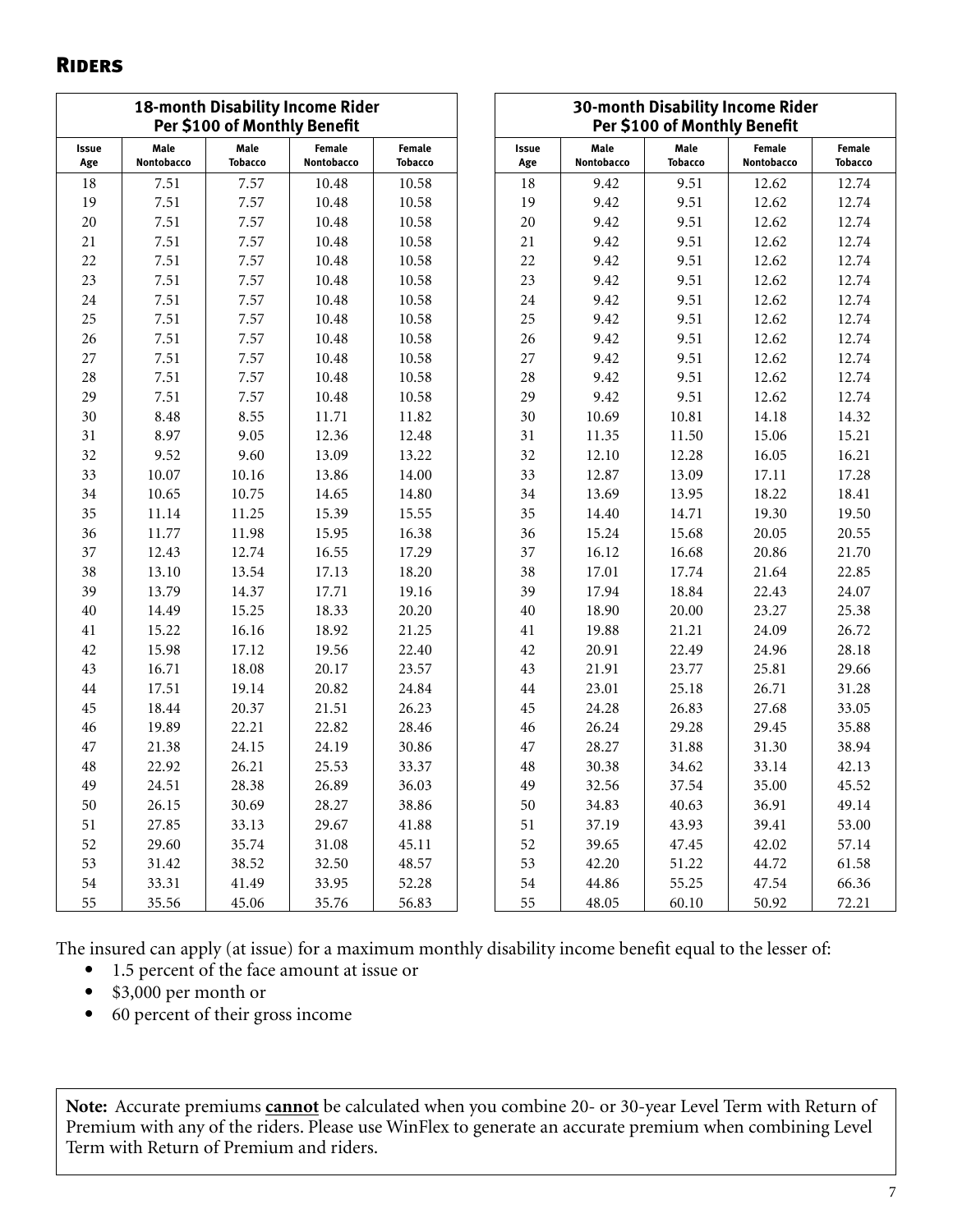### **RIDERS**

|              | <b>18-month Disability Income Rider</b><br>Per \$100 of Monthly Benefit |                        |                      |                          |              |                    | Per \$100 of Monthly Benefit | 30-month Disability Income Rider |                          |
|--------------|-------------------------------------------------------------------------|------------------------|----------------------|--------------------------|--------------|--------------------|------------------------------|----------------------------------|--------------------------|
| Issue<br>Age | Male<br>Nontobacco                                                      | Male<br><b>Tobacco</b> | Female<br>Nontobacco | Female<br><b>Tobacco</b> | Issue<br>Age | Male<br>Nontobacco | Male<br><b>Tobacco</b>       | Female<br>Nontobacco             | Female<br><b>Tobacco</b> |
| $18\,$       | 7.51                                                                    | 7.57                   | 10.48                | 10.58                    | 18           | 9.42               | 9.51                         | 12.62                            | 12.74                    |
| 19           | 7.51                                                                    | 7.57                   | 10.48                | 10.58                    | 19           | 9.42               | 9.51                         | 12.62                            | 12.74                    |
| $20\,$       | 7.51                                                                    | 7.57                   | 10.48                | 10.58                    | 20           | 9.42               | 9.51                         | 12.62                            | 12.74                    |
| 21           | 7.51                                                                    | 7.57                   | 10.48                | 10.58                    | 21           | 9.42               | 9.51                         | 12.62                            | 12.74                    |
| 22           | 7.51                                                                    | 7.57                   | 10.48                | 10.58                    | 22           | 9.42               | 9.51                         | 12.62                            | 12.74                    |
| 23           | 7.51                                                                    | 7.57                   | 10.48                | 10.58                    | 23           | 9.42               | 9.51                         | 12.62                            | 12.74                    |
| 24           | 7.51                                                                    | 7.57                   | 10.48                | 10.58                    | 24           | 9.42               | 9.51                         | 12.62                            | 12.74                    |
| 25           | 7.51                                                                    | 7.57                   | 10.48                | 10.58                    | 25           | 9.42               | 9.51                         | 12.62                            | 12.74                    |
| 26           | 7.51                                                                    | 7.57                   | 10.48                | 10.58                    | 26           | 9.42               | 9.51                         | 12.62                            | 12.74                    |
| 27           | 7.51                                                                    | 7.57                   | 10.48                | 10.58                    | 27           | 9.42               | 9.51                         | 12.62                            | 12.74                    |
| $28\,$       | 7.51                                                                    | 7.57                   | 10.48                | 10.58                    | 28           | 9.42               | 9.51                         | 12.62                            | 12.74                    |
| 29           | 7.51                                                                    | 7.57                   | 10.48                | 10.58                    | 29           | 9.42               | 9.51                         | 12.62                            | 12.74                    |
| 30           | 8.48                                                                    | 8.55                   | 11.71                | 11.82                    | 30           | 10.69              | 10.81                        | 14.18                            | 14.32                    |
| 31           | 8.97                                                                    | 9.05                   | 12.36                | 12.48                    | 31           | 11.35              | 11.50                        | 15.06                            | 15.21                    |
| 32           | 9.52                                                                    | 9.60                   | 13.09                | 13.22                    | 32           | 12.10              | 12.28                        | 16.05                            | 16.21                    |
| 33           | 10.07                                                                   | 10.16                  | 13.86                | 14.00                    | 33           | 12.87              | 13.09                        | 17.11                            | 17.28                    |
| 34           | 10.65                                                                   | 10.75                  | 14.65                | 14.80                    | 34           | 13.69              | 13.95                        | 18.22                            | 18.41                    |
| 35           | 11.14                                                                   | 11.25                  | 15.39                | 15.55                    | 35           | 14.40              | 14.71                        | 19.30                            | 19.50                    |
| 36           | 11.77                                                                   | 11.98                  | 15.95                | 16.38                    | 36           | 15.24              | 15.68                        | 20.05                            | 20.55                    |
| 37           | 12.43                                                                   | 12.74                  | 16.55                | 17.29                    | 37           | 16.12              | 16.68                        | 20.86                            | 21.70                    |
| 38           | 13.10                                                                   | 13.54                  | 17.13                | 18.20                    | 38           | 17.01              | 17.74                        | 21.64                            | 22.85                    |
| 39           | 13.79                                                                   | 14.37                  | 17.71                | 19.16                    | 39           | 17.94              | 18.84                        | 22.43                            | 24.07                    |
| 40           | 14.49                                                                   | 15.25                  | 18.33                | 20.20                    | 40           | 18.90              | 20.00                        | 23.27                            | 25.38                    |
| 41           | 15.22                                                                   | 16.16                  | 18.92                | 21.25                    | 41           | 19.88              | 21.21                        | 24.09                            | 26.72                    |
| $42\,$       | 15.98                                                                   | 17.12                  | 19.56                | 22.40                    | 42           | 20.91              | 22.49                        | 24.96                            | 28.18                    |
| 43           | 16.71                                                                   | 18.08                  | 20.17                | 23.57                    | 43           | 21.91              | 23.77                        | 25.81                            | 29.66                    |
| $44\,$       | 17.51                                                                   | 19.14                  | 20.82                | 24.84                    | 44           | 23.01              | 25.18                        | 26.71                            | 31.28                    |
| 45           | 18.44                                                                   | 20.37                  | 21.51                | 26.23                    | 45           | 24.28              | 26.83                        | 27.68                            | 33.05                    |
| 46           | 19.89                                                                   | 22.21                  | 22.82                | 28.46                    | 46           | 26.24              | 29.28                        | 29.45                            | 35.88                    |
| 47           | 21.38                                                                   | 24.15                  | 24.19                | 30.86                    | 47           | 28.27              | 31.88                        | 31.30                            | 38.94                    |
| 48           | 22.92                                                                   | 26.21                  | 25.53                | 33.37                    | 48           | 30.38              | 34.62                        | 33.14                            | 42.13                    |
| 49           | 24.51                                                                   | 28.38                  | 26.89                | 36.03                    | 49           | 32.56              | 37.54                        | 35.00                            | 45.52                    |
| 50           | 26.15                                                                   | 30.69                  | 28.27                | 38.86                    | 50           | 34.83              | 40.63                        | 36.91                            | 49.14                    |
| 51           | 27.85                                                                   | 33.13                  | 29.67                | 41.88                    | 51           | 37.19              | 43.93                        | 39.41                            | 53.00                    |
| 52           | 29.60                                                                   | 35.74                  | 31.08                | 45.11                    | 52           | 39.65              | 47.45                        | 42.02                            | 57.14                    |
| 53           | 31.42                                                                   | 38.52                  | 32.50                | 48.57                    | 53           | 42.20              | 51.22                        | 44.72                            | 61.58                    |
| 54           | 33.31                                                                   | 41.49                  | 33.95                | 52.28                    | 54           | 44.86              | 55.25                        | 47.54                            | 66.36                    |
| 55           | 35.56                                                                   | 45.06                  | 35.76                | 56.83                    | 55           | 48.05              | 60.10                        | 50.92                            | 72.21                    |

The insured can apply (at issue) for a maximum monthly disability income benefit equal to the lesser of:

- 1.5 percent of the face amount at issue or
- \$3,000 per month or
- 60 percent of their gross income

**Note:** Accurate premiums **cannot** be calculated when you combine 20- or 30-year Level Term with Return of Premium with any of the riders. Please use WinFlex to generate an accurate premium when combining Level Term with Return of Premium and riders.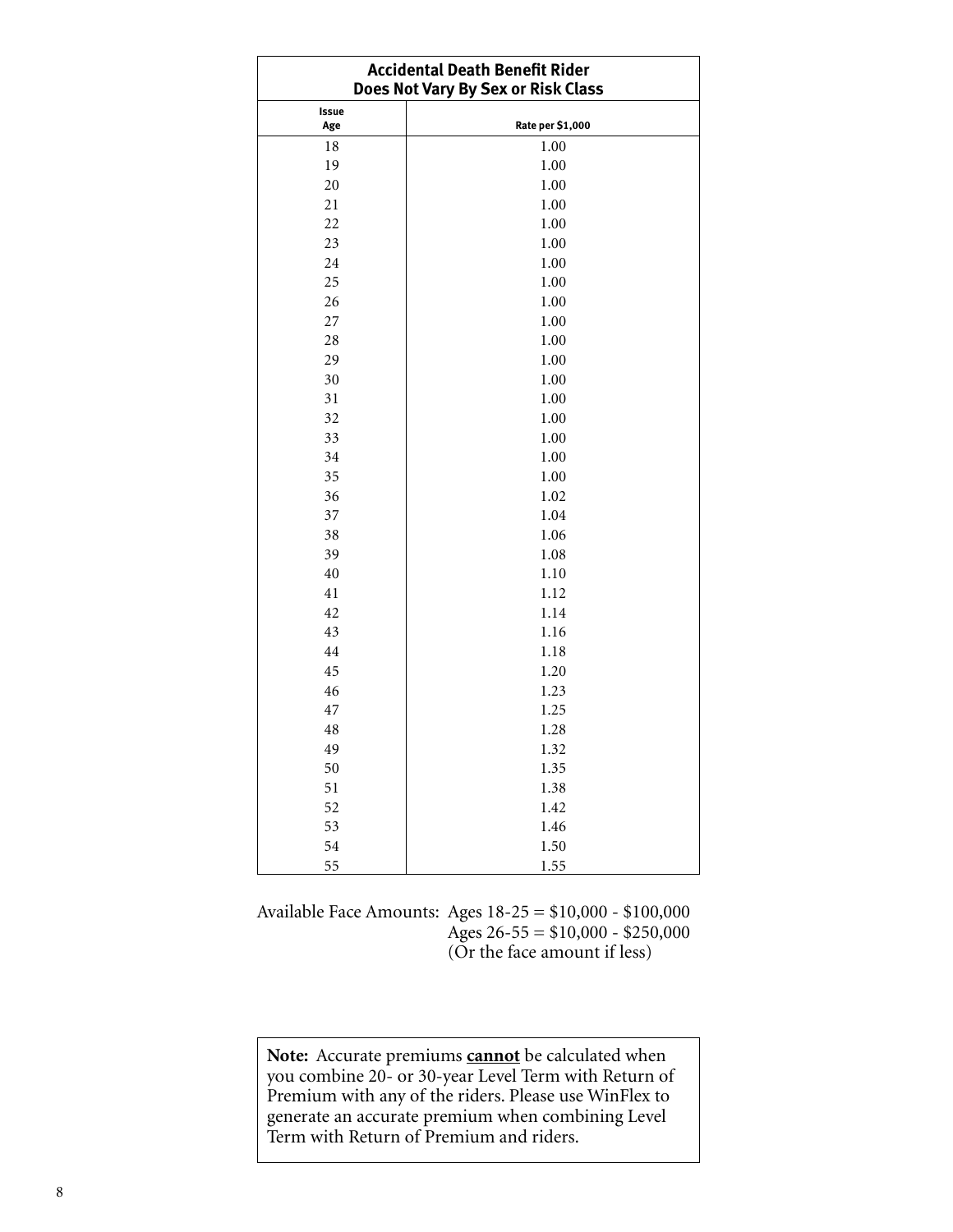| <b>Accidental Death Benefit Rider</b><br>Does Not Vary By Sex or Risk Class |                  |  |  |  |  |
|-----------------------------------------------------------------------------|------------------|--|--|--|--|
| Issue<br>Age                                                                | Rate per \$1,000 |  |  |  |  |
| 18                                                                          | 1.00             |  |  |  |  |
| 19                                                                          | 1.00             |  |  |  |  |
| 20                                                                          | 1.00             |  |  |  |  |
| 21                                                                          | 1.00             |  |  |  |  |
| 22                                                                          | 1.00             |  |  |  |  |
| 23                                                                          | 1.00             |  |  |  |  |
| 24                                                                          | 1.00             |  |  |  |  |
| 25                                                                          | 1.00             |  |  |  |  |
| 26                                                                          | 1.00             |  |  |  |  |
| 27                                                                          | 1.00             |  |  |  |  |
| 28                                                                          | 1.00             |  |  |  |  |
| 29                                                                          | 1.00             |  |  |  |  |
| 30                                                                          | 1.00             |  |  |  |  |
| 31                                                                          | 1.00             |  |  |  |  |
| 32                                                                          | 1.00             |  |  |  |  |
| 33                                                                          | 1.00             |  |  |  |  |
| 34                                                                          | 1.00             |  |  |  |  |
| 35                                                                          | 1.00             |  |  |  |  |
| 36                                                                          | 1.02             |  |  |  |  |
| 37                                                                          | 1.04             |  |  |  |  |
| 38                                                                          | 1.06             |  |  |  |  |
| 39                                                                          | 1.08             |  |  |  |  |
| 40                                                                          | 1.10             |  |  |  |  |
| 41                                                                          | 1.12             |  |  |  |  |
| 42                                                                          | 1.14             |  |  |  |  |
| 43                                                                          | 1.16             |  |  |  |  |
| 44                                                                          | 1.18             |  |  |  |  |
| 45                                                                          | 1.20             |  |  |  |  |
| 46                                                                          | 1.23             |  |  |  |  |
| 47                                                                          | 1.25             |  |  |  |  |
| 48                                                                          | 1.28             |  |  |  |  |
| 49                                                                          | 1.32             |  |  |  |  |
| 50                                                                          | 1.35             |  |  |  |  |
| 51                                                                          | 1.38             |  |  |  |  |
| 52                                                                          | 1.42             |  |  |  |  |
| 53                                                                          | 1.46             |  |  |  |  |
| 54                                                                          | 1.50             |  |  |  |  |
| 55                                                                          | 1.55             |  |  |  |  |

Available Face Amounts: Ages 18-25 = \$10,000 - \$100,000 Ages  $26 - 55 = $10,000 - $250,000$ (Or the face amount if less)

**Note:** Accurate premiums **cannot** be calculated when you combine 20- or 30-year Level Term with Return of Premium with any of the riders. Please use WinFlex to generate an accurate premium when combining Level Term with Return of Premium and riders.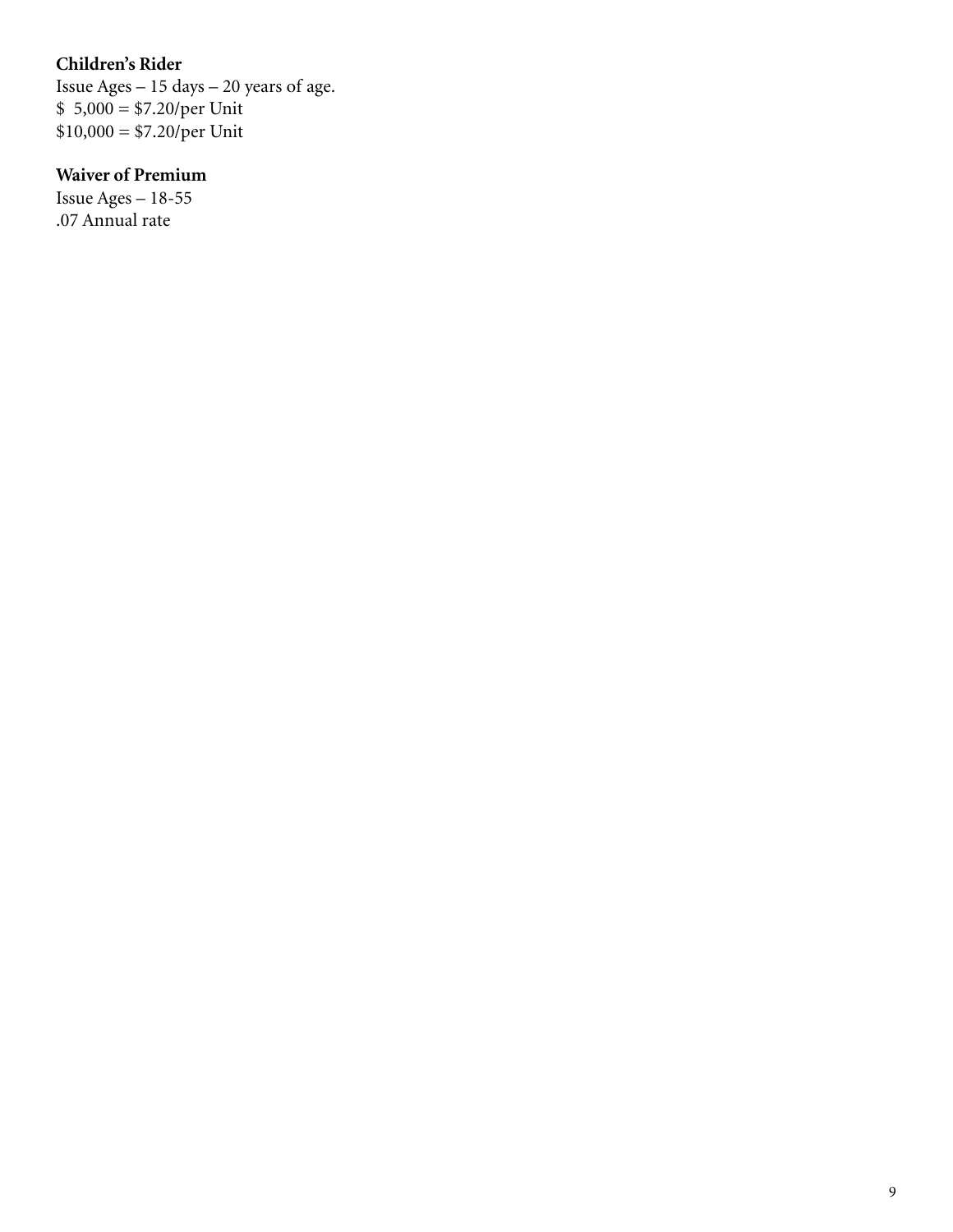## **Children's Rider**

Issue Ages – 15 days – 20 years of age. \$ 5,000 = \$7.20/per Unit  $$10,000 = $7.20/per$  Unit

## **Waiver of Premium**

Issue Ages – 18-55 .07 Annual rate